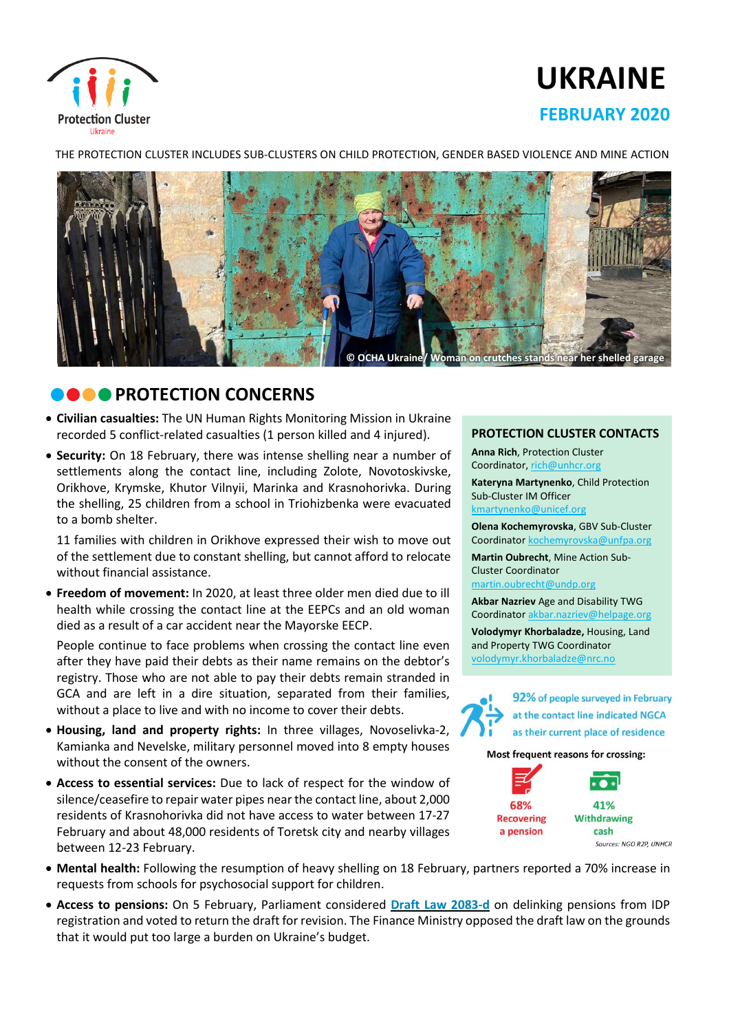

# **UKRAINE FEBRUARY 2020**

THE PROTECTION CLUSTER INCLUDES SUB-CLUSTERS ON CHILD PROTECTION, GENDER BASED VIOLENCE AND MINE ACTION



# **COOPROTECTION CONCERNS**

- **Civilian casualties:** The UN Human Rights Monitoring Mission in Ukraine recorded 5 conflict-related casualties (1 person killed and 4 injured).
- **Security:** On 18 February, there was intense shelling near a number of settlements along the contact line, including Zolote, Novotoskivske, Orikhove, Krymske, Khutor Vilnyii, Marinka and Krasnohorivka. During the shelling, 25 children from a school in Triohizbenka were evacuated to a bomb shelter.

11 families with children in Orikhove expressed their wish to move out of the settlement due to constant shelling, but cannot afford to relocate without financial assistance.

• **Freedom of movement:** In 2020, at least three older men died due to ill health while crossing the contact line at the EEPCs and an old woman died as a result of a car accident near the Mayorske EECP.

People continue to face problems when crossing the contact line even after they have paid their debts as their name remains on the debtor's registry. Those who are not able to pay their debts remain stranded in GCA and are left in a dire situation, separated from their families, without a place to live and with no income to cover their debts.

- **Housing, land and property rights:** In three villages, Novoselivka-2, Kamianka and Nevelske, military personnel moved into 8 empty houses without the consent of the owners.
- **Access to essential services:** Due to lack of respect for the window of silence/ceasefire to repair water pipes nearthe contact line, about 2,000 residents of Krasnohorivka did not have access to water between 17-27 February and about 48,000 residents of Toretsk city and nearby villages between 12-23 February.

#### **PROTECTION CLUSTER CONTACTS**

**Anna Rich**, Protection Cluster Coordinator, [rich@unhcr.org](mailto:rich@unhcr.org) **Kateryna Martynenko**, Child Protection Sub-Cluster IM Officer

kmartynenko@unicef.org

**Olena Kochemyrovska**, GBV Sub-Cluster Coordinator [kochemyrovska@unfpa.org](mailto:kristesashvili@unfpa.org)

**Martin Oubrecht**, Mine Action Sub-Cluster Coordinator

[martin.oubrecht@undp.org](mailto:martin.oubrecht@undp.org)

**Akbar Nazriev** Age and Disability TWG Coordinator akbar.nazriev@helpage.org **Volodymyr Khorbaladze,** Housing, Land and Property TWG Coordinator [volodymyr.khorbaladze@nrc.no](mailto:volodymyr.khorbaladze@nrc.no)



92% of people surveyed in February at the contact line indicated NGCA as their current place of residence

Most frequent reasons for crossing:



- **Mental health:** Following the resumption of heavy shelling on 18 February, partners reported a 70% increase in requests from schools for psychosocial support for children.
- **Access to pensions:** On 5 February, Parliament considered **Draft Law [2083-d](https://w1.c1.rada.gov.ua/pls/zweb2/webproc4_1?pf3511=67473)** on delinking pensions from IDP registration and voted to return the draft for revision. The Finance Ministry opposed the draft law on the grounds that it would put too large a burden on Ukraine's budget.